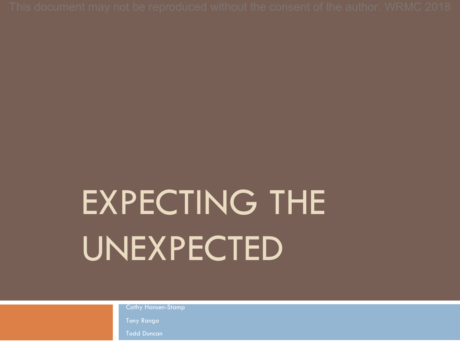## EXPECTING THE UNEXPECTED

Cathy Hansen-Stamp

Tony Rango

Todd Duncan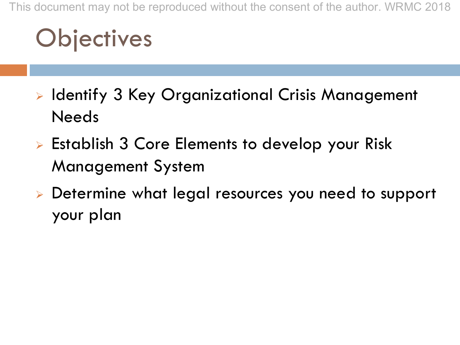This document may not be reproduced without the consent of the author. WRMC 2018

## **Objectives**

- **Example 13 Key Organizational Crisis Management** Needs
- $\triangleright$  Establish 3 Core Elements to develop your Risk Management System
- <sup>Ø</sup> Determine what legal resources you need to support your plan